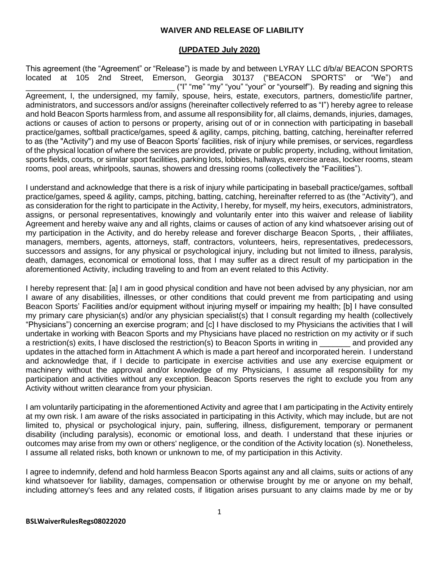#### **WAIVER AND RELEASE OF LIABILITY**

#### **(UPDATED July 2020)**

This agreement (the "Agreement" or "Release") is made by and between LYRAY LLC d/b/a/ BEACON SPORTS located at 105 2nd Street, Emerson, Georgia 30137 ("BEACON SPORTS" or "We") and \_\_\_\_\_\_\_\_\_\_\_\_\_\_\_\_\_\_\_\_\_\_\_\_\_\_\_\_\_\_\_\_\_\_ ("I" "me" "my" "you" "your" or "yourself"). By reading and signing this Agreement, I, the undersigned, my family, spouse, heirs, estate, executors, partners, domestic/life partner, administrators, and successors and/or assigns (hereinafter collectively referred to as "I") hereby agree to release and hold Beacon Sports harmless from, and assume all responsibility for, all claims, demands, injuries, damages, actions or causes of action to persons or property, arising out of or in connection with participating in baseball practice/games, softball practice/games, speed & agility, camps, pitching, batting, catching, hereinafter referred to as (the "Activity") and my use of Beacon Sports' facilities, risk of injury while premises, or services, regardless of the physical location of where the services are provided, private or public property, including, without limitation, sports fields, courts, or similar sport facilities, parking lots, lobbies, hallways, exercise areas, locker rooms, steam rooms, pool areas, whirlpools, saunas, showers and dressing rooms (collectively the "Facilities").

I understand and acknowledge that there is a risk of injury while participating in baseball practice/games, softball practice/games, speed & agility, camps, pitching, batting, catching, hereinafter referred to as (the "Activity"), and as consideration for the right to participate in the Activity, I hereby, for myself, my heirs, executors, administrators, assigns, or personal representatives, knowingly and voluntarily enter into this waiver and release of liability Agreement and hereby waive any and all rights, claims or causes of action of any kind whatsoever arising out of my participation in the Activity, and do hereby release and forever discharge Beacon Sports, , their affiliates, managers, members, agents, attorneys, staff, contractors, volunteers, heirs, representatives, predecessors, successors and assigns, for any physical or psychological injury, including but not limited to illness, paralysis, death, damages, economical or emotional loss, that I may suffer as a direct result of my participation in the aforementioned Activity, including traveling to and from an event related to this Activity.

I hereby represent that: [a] I am in good physical condition and have not been advised by any physician, nor am I aware of any disabilities, illnesses, or other conditions that could prevent me from participating and using Beacon Sports' Facilities and/or equipment without injuring myself or impairing my health; [b] I have consulted my primary care physician(s) and/or any physician specialist(s) that I consult regarding my health (collectively "Physicians") concerning an exercise program; and [c] I have disclosed to my Physicians the activities that I will undertake in working with Beacon Sports and my Physicians have placed no restriction on my activity or if such a restriction(s) exits, I have disclosed the restriction(s) to Beacon Sports in writing in \_\_\_\_\_\_\_ and provided any updates in the attached form in Attachment A which is made a part hereof and incorporated herein. I understand and acknowledge that, if I decide to participate in exercise activities and use any exercise equipment or machinery without the approval and/or knowledge of my Physicians, I assume all responsibility for my participation and activities without any exception. Beacon Sports reserves the right to exclude you from any Activity without written clearance from your physician.

I am voluntarily participating in the aforementioned Activity and agree that I am participating in the Activity entirely at my own risk. I am aware of the risks associated in participating in this Activity, which may include, but are not limited to, physical or psychological injury, pain, suffering, illness, disfigurement, temporary or permanent disability (including paralysis), economic or emotional loss, and death. I understand that these injuries or outcomes may arise from my own or others' negligence, or the condition of the Activity location (s). Nonetheless, I assume all related risks, both known or unknown to me, of my participation in this Activity.

I agree to indemnify, defend and hold harmless Beacon Sports against any and all claims, suits or actions of any kind whatsoever for liability, damages, compensation or otherwise brought by me or anyone on my behalf, including attorney's fees and any related costs, if litigation arises pursuant to any claims made by me or by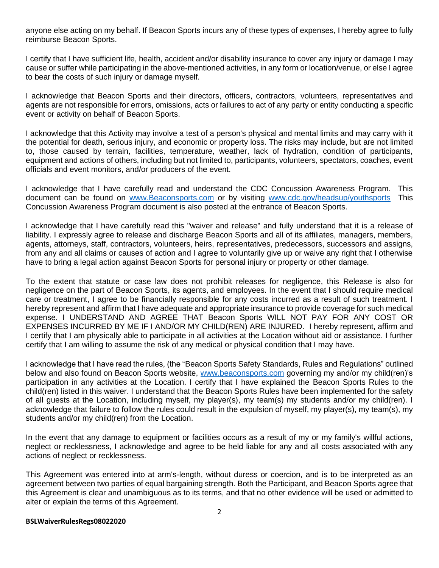anyone else acting on my behalf. If Beacon Sports incurs any of these types of expenses, I hereby agree to fully reimburse Beacon Sports.

I certify that I have sufficient life, health, accident and/or disability insurance to cover any injury or damage I may cause or suffer while participating in the above-mentioned activities, in any form or location/venue, or else I agree to bear the costs of such injury or damage myself.

I acknowledge that Beacon Sports and their directors, officers, contractors, volunteers, representatives and agents are not responsible for errors, omissions, acts or failures to act of any party or entity conducting a specific event or activity on behalf of Beacon Sports.

I acknowledge that this Activity may involve a test of a person's physical and mental limits and may carry with it the potential for death, serious injury, and economic or property loss. The risks may include, but are not limited to, those caused by terrain, facilities, temperature, weather, lack of hydration, condition of participants, equipment and actions of others, including but not limited to, participants, volunteers, spectators, coaches, event officials and event monitors, and/or producers of the event.

I acknowledge that I have carefully read and understand the CDC Concussion Awareness Program. This document can be found on [www.Beaconsports.com](http://www.beaconsports.com/) or by visiting [www.cdc.gov/headsup/youthsports](http://www.cdc.gov/headsup/youthsports) This Concussion Awareness Program document is also posted at the entrance of Beacon Sports.

I acknowledge that I have carefully read this "waiver and release" and fully understand that it is a release of liability. I expressly agree to release and discharge Beacon Sports and all of its affiliates, managers, members, agents, attorneys, staff, contractors, volunteers, heirs, representatives, predecessors, successors and assigns, from any and all claims or causes of action and I agree to voluntarily give up or waive any right that I otherwise have to bring a legal action against Beacon Sports for personal injury or property or other damage.

To the extent that statute or case law does not prohibit releases for negligence, this Release is also for negligence on the part of Beacon Sports, its agents, and employees. In the event that I should require medical care or treatment, I agree to be financially responsible for any costs incurred as a result of such treatment. I hereby represent and affirm that I have adequate and appropriate insurance to provide coverage for such medical expense. I UNDERSTAND AND AGREE THAT Beacon Sports WILL NOT PAY FOR ANY COST OR EXPENSES INCURRED BY ME IF I AND/OR MY CHILD(REN) ARE INJURED. I hereby represent, affirm and I certify that I am physically able to participate in all activities at the Location without aid or assistance. I further certify that I am willing to assume the risk of any medical or physical condition that I may have.

I acknowledge that I have read the rules, (the "Beacon Sports Safety Standards, Rules and Regulations" outlined below and also found on Beacon Sports website, [www.beaconsports.com](http://www.beaconsports.com/) governing my and/or my child(ren)'s participation in any activities at the Location. I certify that I have explained the Beacon Sports Rules to the child(ren) listed in this waiver. I understand that the Beacon Sports Rules have been implemented for the safety of all guests at the Location, including myself, my player(s), my team(s) my students and/or my child(ren). I acknowledge that failure to follow the rules could result in the expulsion of myself, my player(s), my team(s), my students and/or my child(ren) from the Location.

In the event that any damage to equipment or facilities occurs as a result of my or my family's willful actions, neglect or recklessness, I acknowledge and agree to be held liable for any and all costs associated with any actions of neglect or recklessness.

This Agreement was entered into at arm's-length, without duress or coercion, and is to be interpreted as an agreement between two parties of equal bargaining strength. Both the Participant, and Beacon Sports agree that this Agreement is clear and unambiguous as to its terms, and that no other evidence will be used or admitted to alter or explain the terms of this Agreement.

#### **BSLWaiverRulesRegs08022020**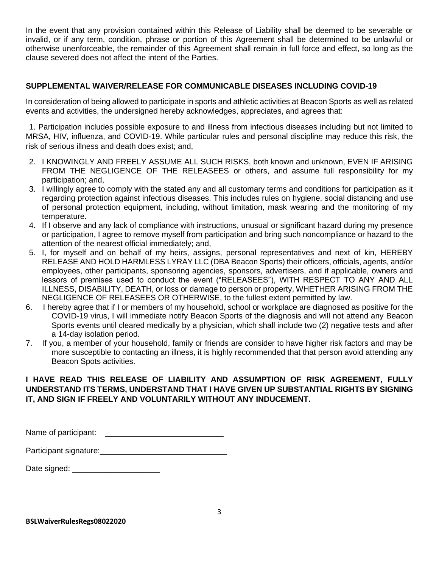In the event that any provision contained within this Release of Liability shall be deemed to be severable or invalid, or if any term, condition, phrase or portion of this Agreement shall be determined to be unlawful or otherwise unenforceable, the remainder of this Agreement shall remain in full force and effect, so long as the clause severed does not affect the intent of the Parties.

## **SUPPLEMENTAL WAIVER/RELEASE FOR COMMUNICABLE DISEASES INCLUDING COVID-19**

In consideration of being allowed to participate in sports and athletic activities at Beacon Sports as well as related events and activities, the undersigned hereby acknowledges, appreciates, and agrees that:

1. Participation includes possible exposure to and illness from infectious diseases including but not limited to MRSA, HIV, influenza, and COVID-19. While particular rules and personal discipline may reduce this risk, the risk of serious illness and death does exist; and,

- 2. I KNOWINGLY AND FREELY ASSUME ALL SUCH RISKS, both known and unknown, EVEN IF ARISING FROM THE NEGLIGENCE OF THE RELEASEES or others, and assume full responsibility for my participation; and,
- 3. I willingly agree to comply with the stated any and all eustomary terms and conditions for participation as it regarding protection against infectious diseases. This includes rules on hygiene, social distancing and use of personal protection equipment, including, without limitation, mask wearing and the monitoring of my temperature.
- 4. If I observe and any lack of compliance with instructions, unusual or significant hazard during my presence or participation, I agree to remove myself from participation and bring such noncompliance or hazard to the attention of the nearest official immediately; and,
- 5. I, for myself and on behalf of my heirs, assigns, personal representatives and next of kin, HEREBY RELEASE AND HOLD HARMLESS LYRAY LLC (DBA Beacon Sports) their officers, officials, agents, and/or employees, other participants, sponsoring agencies, sponsors, advertisers, and if applicable, owners and lessors of premises used to conduct the event ("RELEASEES"), WITH RESPECT TO ANY AND ALL ILLNESS, DISABILITY, DEATH, or loss or damage to person or property, WHETHER ARISING FROM THE NEGLIGENCE OF RELEASEES OR OTHERWISE, to the fullest extent permitted by law.
- 6. I hereby agree that if I or members of my household, school or workplace are diagnosed as positive for the COVID-19 virus, I will immediate notify Beacon Sports of the diagnosis and will not attend any Beacon Sports events until cleared medically by a physician, which shall include two (2) negative tests and after a 14-day isolation period.
- 7. If you, a member of your household, family or friends are consider to have higher risk factors and may be more susceptible to contacting an illness, it is highly recommended that that person avoid attending any Beacon Spots activities.

## **I HAVE READ THIS RELEASE OF LIABILITY AND ASSUMPTION OF RISK AGREEMENT, FULLY UNDERSTAND ITS TERMS, UNDERSTAND THAT I HAVE GIVEN UP SUBSTANTIAL RIGHTS BY SIGNING IT, AND SIGN IF FREELY AND VOLUNTARILY WITHOUT ANY INDUCEMENT.**

| Name of participant: |  |
|----------------------|--|
|----------------------|--|

| Participant signature: |  |
|------------------------|--|
|------------------------|--|

Date signed: \_\_\_\_\_\_\_\_\_\_\_\_\_\_\_\_\_\_\_\_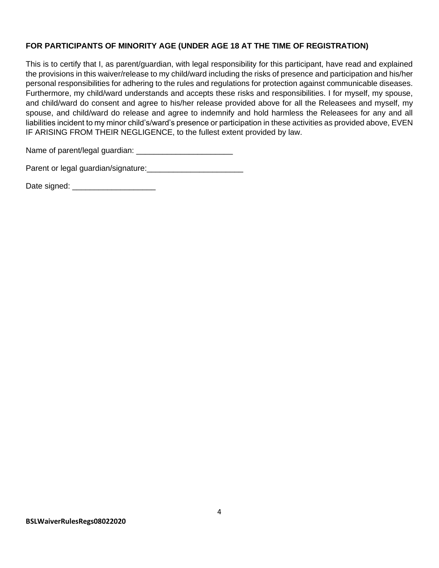## **FOR PARTICIPANTS OF MINORITY AGE (UNDER AGE 18 AT THE TIME OF REGISTRATION)**

This is to certify that I, as parent/guardian, with legal responsibility for this participant, have read and explained the provisions in this waiver/release to my child/ward including the risks of presence and participation and his/her personal responsibilities for adhering to the rules and regulations for protection against communicable diseases. Furthermore, my child/ward understands and accepts these risks and responsibilities. I for myself, my spouse, and child/ward do consent and agree to his/her release provided above for all the Releasees and myself, my spouse, and child/ward do release and agree to indemnify and hold harmless the Releasees for any and all liabilities incident to my minor child's/ward's presence or participation in these activities as provided above, EVEN IF ARISING FROM THEIR NEGLIGENCE, to the fullest extent provided by law.

Name of parent/legal guardian: \_\_\_\_\_\_\_\_\_\_\_\_\_\_\_\_\_\_\_\_\_\_

Parent or legal guardian/signature:<br>

Date signed: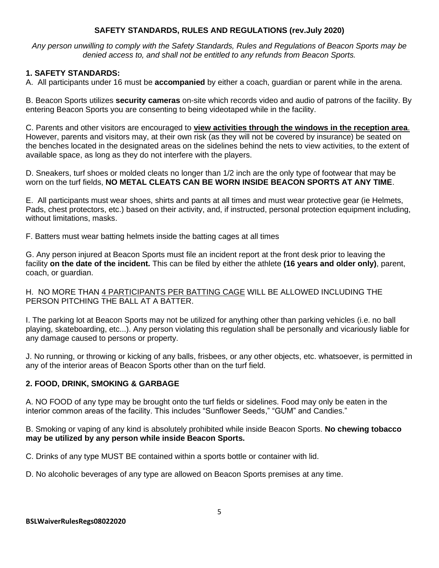### **SAFETY STANDARDS, RULES AND REGULATIONS (rev.July 2020)**

*Any person unwilling to comply with the Safety Standards, Rules and Regulations of Beacon Sports may be denied access to, and shall not be entitled to any refunds from Beacon Sports.*

## **1. SAFETY STANDARDS:**

A. All participants under 16 must be **accompanied** by either a coach, guardian or parent while in the arena.

B. Beacon Sports utilizes **security cameras** on-site which records video and audio of patrons of the facility. By entering Beacon Sports you are consenting to being videotaped while in the facility.

C. Parents and other visitors are encouraged to **view activities through the windows in the reception area**. However, parents and visitors may, at their own risk (as they will not be covered by insurance) be seated on the benches located in the designated areas on the sidelines behind the nets to view activities, to the extent of available space, as long as they do not interfere with the players.

D. Sneakers, turf shoes or molded cleats no longer than 1/2 inch are the only type of footwear that may be worn on the turf fields, **NO METAL CLEATS CAN BE WORN INSIDE BEACON SPORTS AT ANY TIME**.

E. All participants must wear shoes, shirts and pants at all times and must wear protective gear (ie Helmets, Pads, chest protectors, etc.) based on their activity, and, if instructed, personal protection equipment including, without limitations, masks.

F. Batters must wear batting helmets inside the batting cages at all times

G. Any person injured at Beacon Sports must file an incident report at the front desk prior to leaving the facility **on the date of the incident.** This can be filed by either the athlete **(16 years and older only)**, parent, coach, or guardian.

H. NO MORE THAN 4 PARTICIPANTS PER BATTING CAGE WILL BE ALLOWED INCLUDING THE PERSON PITCHING THE BALL AT A BATTER.

I. The parking lot at Beacon Sports may not be utilized for anything other than parking vehicles (i.e. no ball playing, skateboarding, etc...). Any person violating this regulation shall be personally and vicariously liable for any damage caused to persons or property.

J. No running, or throwing or kicking of any balls, frisbees, or any other objects, etc. whatsoever, is permitted in any of the interior areas of Beacon Sports other than on the turf field.

# **2. FOOD, DRINK, SMOKING & GARBAGE**

A. NO FOOD of any type may be brought onto the turf fields or sidelines. Food may only be eaten in the interior common areas of the facility. This includes "Sunflower Seeds," "GUM" and Candies."

B. Smoking or vaping of any kind is absolutely prohibited while inside Beacon Sports. **No chewing tobacco may be utilized by any person while inside Beacon Sports.**

C. Drinks of any type MUST BE contained within a sports bottle or container with lid.

D. No alcoholic beverages of any type are allowed on Beacon Sports premises at any time.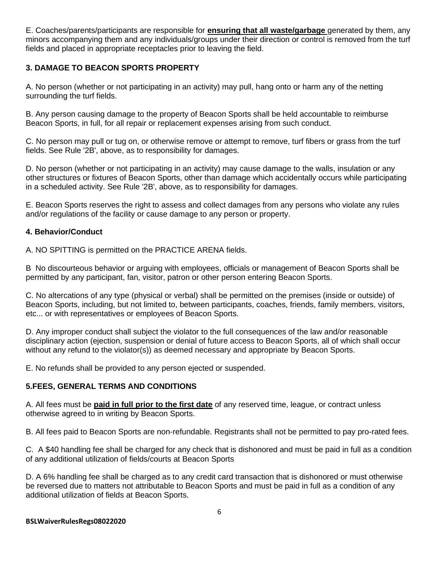E. Coaches/parents/participants are responsible for **ensuring that all waste/garbage** generated by them, any minors accompanying them and any individuals/groups under their direction or control is removed from the turf fields and placed in appropriate receptacles prior to leaving the field.

## **3. DAMAGE TO BEACON SPORTS PROPERTY**

A. No person (whether or not participating in an activity) may pull, hang onto or harm any of the netting surrounding the turf fields.

B. Any person causing damage to the property of Beacon Sports shall be held accountable to reimburse Beacon Sports, in full, for all repair or replacement expenses arising from such conduct.

C. No person may pull or tug on, or otherwise remove or attempt to remove, turf fibers or grass from the turf fields. See Rule '2B', above, as to responsibility for damages.

D. No person (whether or not participating in an activity) may cause damage to the walls, insulation or any other structures or fixtures of Beacon Sports, other than damage which accidentally occurs while participating in a scheduled activity. See Rule '2B', above, as to responsibility for damages.

E. Beacon Sports reserves the right to assess and collect damages from any persons who violate any rules and/or regulations of the facility or cause damage to any person or property.

### **4. Behavior/Conduct**

A. NO SPITTING is permitted on the PRACTICE ARENA fields.

B No discourteous behavior or arguing with employees, officials or management of Beacon Sports shall be permitted by any participant, fan, visitor, patron or other person entering Beacon Sports.

C. No altercations of any type (physical or verbal) shall be permitted on the premises (inside or outside) of Beacon Sports, including, but not limited to, between participants, coaches, friends, family members, visitors, etc... or with representatives or employees of Beacon Sports.

D. Any improper conduct shall subject the violator to the full consequences of the law and/or reasonable disciplinary action (ejection, suspension or denial of future access to Beacon Sports, all of which shall occur without any refund to the violator(s)) as deemed necessary and appropriate by Beacon Sports.

E. No refunds shall be provided to any person ejected or suspended.

### **5.FEES, GENERAL TERMS AND CONDITIONS**

A. All fees must be **paid in full prior to the first date** of any reserved time, league, or contract unless otherwise agreed to in writing by Beacon Sports.

B. All fees paid to Beacon Sports are non-refundable. Registrants shall not be permitted to pay pro-rated fees.

C. A \$40 handling fee shall be charged for any check that is dishonored and must be paid in full as a condition of any additional utilization of fields/courts at Beacon Sports

D. A 6% handling fee shall be charged as to any credit card transaction that is dishonored or must otherwise be reversed due to matters not attributable to Beacon Sports and must be paid in full as a condition of any additional utilization of fields at Beacon Sports.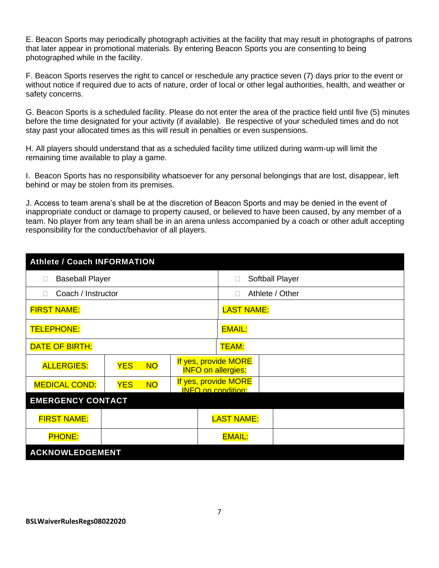E. Beacon Sports may periodically photograph activities at the facility that may result in photographs of patrons that later appear in promotional materials. By entering Beacon Sports you are consenting to being photographed while in the facility.

F. Beacon Sports reserves the right to cancel or reschedule any practice seven (7) days prior to the event or without notice if required due to acts of nature, order of local or other legal authorities, health, and weather or safety concerns.

G. Beacon Sports is a scheduled facility. Please do not enter the area of the practice field until five (5) minutes before the time designated for your activity (if available). Be respective of your scheduled times and do not stay past your allocated times as this will result in penalties or even suspensions.

H. All players should understand that as a scheduled facility time utilized during warm-up will limit the remaining time available to play a game.

I. Beacon Sports has no responsibility whatsoever for any personal belongings that are lost, disappear, left behind or may be stolen from its premises.

J. Access to team arena's shall be at the discretion of Beacon Sports and may be denied in the event of inappropriate conduct or damage to property caused, or believed to have been caused, by any member of a team. No player from any team shall be in an arena unless accompanied by a coach or other adult accepting responsibility for the conduct/behavior of all players.

| <b>Athlete / Coach INFORMATION</b> |                         |                           |                                                   |  |  |  |
|------------------------------------|-------------------------|---------------------------|---------------------------------------------------|--|--|--|
| <b>Baseball Player</b><br>$\Box$   |                         |                           | Softball Player                                   |  |  |  |
| Coach / Instructor<br>$\Box$       |                         | Athlete / Other<br>$\Box$ |                                                   |  |  |  |
| <b>FIRST NAME:</b>                 |                         | <b>LAST NAME:</b>         |                                                   |  |  |  |
| <b>TELEPHONE:</b>                  |                         | <b>EMAIL:</b>             |                                                   |  |  |  |
| DATE OF BIRTH:                     |                         | TEAM:                     |                                                   |  |  |  |
| <b>ALLERGIES:</b>                  | <b>NO</b><br><b>YES</b> |                           | If yes, provide MORE<br><b>INFO on allergies:</b> |  |  |  |
| <b>MEDICAL COND:</b>               | <b>NO</b><br><b>YES</b> |                           | If yes, provide MORE<br><b>INFO on condition:</b> |  |  |  |
| <b>EMERGENCY CONTACT</b>           |                         |                           |                                                   |  |  |  |
| <b>FIRST NAME:</b>                 |                         |                           | <b>LAST NAME:</b>                                 |  |  |  |
| <b>PHONE:</b>                      |                         |                           | <b>EMAIL:</b>                                     |  |  |  |
| <b>ACKNOWLEDGEMENT</b>             |                         |                           |                                                   |  |  |  |